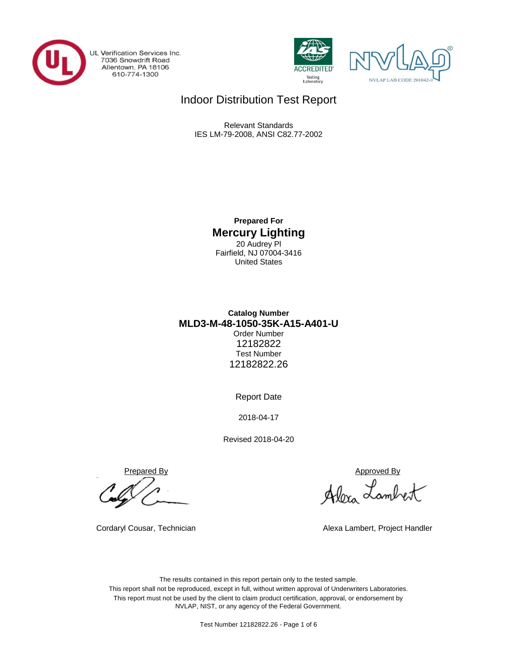

UL Verification Services Inc. 7036 Snowdrift Road<br>Allentown, PA 18106<br>610-774-1300





# Indoor Distribution Test Report

Relevant Standards IES LM-79-2008, ANSI C82.77-2002

> **Prepared For Mercury Lighting** 20 Audrey Pl Fairfield, NJ 07004-3416 United States

# **MLD3-M-48-1050-35K-A15-A401-U Catalog Number** Order Number 12182822 Test Number 12182822.26

Report Date

2018-04-17

Revised 2018-04-20

Prepared By Approved By

Alexa Lambert

Cordaryl Cousar, Technician Alexa Lambert, Project Handler

The results contained in this report pertain only to the tested sample. This report shall not be reproduced, except in full, without written approval of Underwriters Laboratories. This report must not be used by the client to claim product certification, approval, or endorsement by NVLAP, NIST, or any agency of the Federal Government.

Test Number 12182822.26 - Page 1 of 6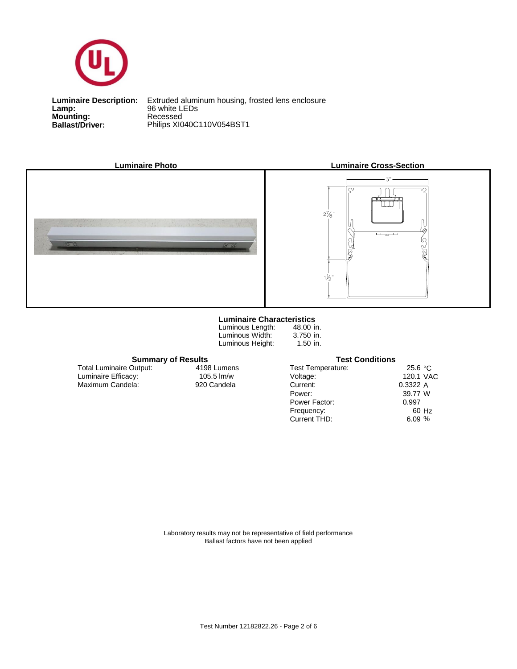

**Lamp:**<br>Mounting:<br>Ballast/Driver: **Lamp:** 96 white LEDs

**Ballast/Driver:** Philips XI040C110V054BST1 **Luminaire Description:** Extruded aluminum housing, frosted lens enclosure



### **Luminaire Characteristics**

Luminous Length: Luminous Width: Luminous Height:

48.00 in. 3.750 in. 1.50 in.

### **Summary of Results Test Conditions**

Maximum Candela: 920 Candela Luminaire Efficacy: Total Luminaire Output:

4198 Lumens

| 25.6 °C   |
|-----------|
| 120.1 VAC |
| 0.3322A   |
| 39.77 W   |
| 0.997     |
| 60 Hz     |
| 6.09%     |
|           |

Laboratory results may not be representative of field performance Ballast factors have not been applied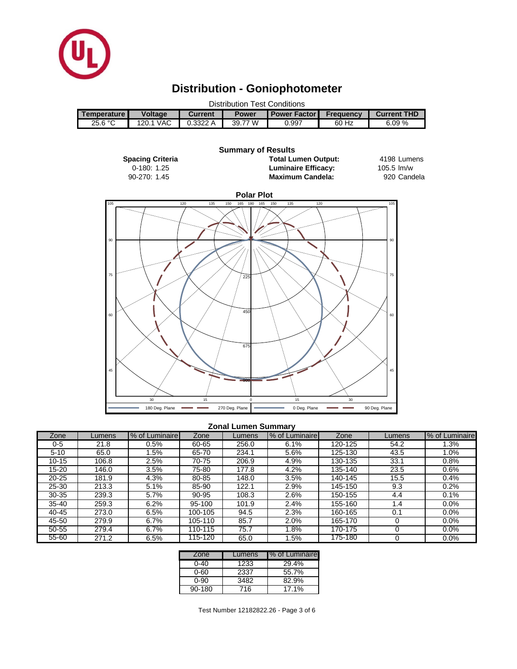

# **Distribution - Goniophotometer**





#### **Zonal Lumen Summary**

| Zone      | Lumens | % of Luminaire | Zone    | Lumens | % of Luminaire | Zone    | Lumens | % of Luminaire |
|-----------|--------|----------------|---------|--------|----------------|---------|--------|----------------|
| $0 - 5$   | 21.8   | 0.5%           | 60-65   | 256.0  | 6.1%           | 120-125 | 54.2   | $1.3\%$        |
| $5 - 10$  | 65.0   | $1.5\%$        | 65-70   | 234.1  | 5.6%           | 125-130 | 43.5   | $1.0\%$        |
| $10 - 15$ | 106.8  | $2.5\%$        | 70-75   | 206.9  | 4.9%           | 130-135 | 33.1   | 0.8%           |
| 15-20     | 146.0  | 3.5%           | 75-80   | 177.8  | 4.2%           | 135-140 | 23.5   | 0.6%           |
| $20 - 25$ | 181.9  | 4.3%           | 80-85   | 148.0  | 3.5%           | 140-145 | 15.5   | 0.4%           |
| 25-30     | 213.3  | 5.1%           | 85-90   | 122.1  | 2.9%           | 145-150 | 9.3    | 0.2%           |
| $30 - 35$ | 239.3  | 5.7%           | 90-95   | 108.3  | 2.6%           | 150-155 | 4.4    | 0.1%           |
| $35 - 40$ | 259.3  | 6.2%           | 95-100  | 101.9  | 2.4%           | 155-160 | 1.4    | $0.0\%$        |
| 40-45     | 273.0  | 6.5%           | 100-105 | 94.5   | 2.3%           | 160-165 | 0.1    | $0.0\%$        |
| 45-50     | 279.9  | 6.7%           | 105-110 | 85.7   | 2.0%           | 165-170 |        | $0.0\%$        |
| 50-55     | 279.4  | 6.7%           | 110-115 | 75.7   | 1.8%           | 170-175 |        | $0.0\%$        |
| 55-60     | 271.2  | 6.5%           | 115-120 | 65.0   | .5%            | 175-180 |        | 0.0%           |

| Zone       | Lumens | I% of Luminaire |
|------------|--------|-----------------|
| 0-40       | 1233   | 29.4%           |
| 0-60       | 2337   | 55.7%           |
| 0-90       | 3482   | 82.9%           |
| $90 - 180$ | 716    | 17.1%           |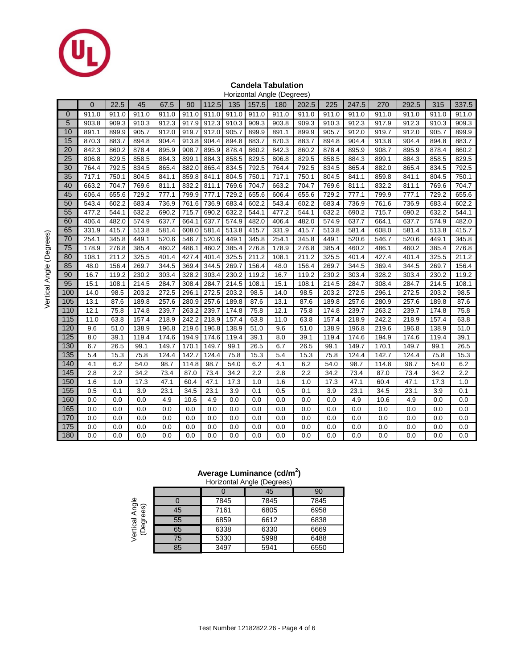

#### **Candela Tabulation** Horizontal Angle (Degrees)

|                  |             |       |       |       |       |       |       |       | Horizonial Angle (Degrees) |       |       |       |       |       |       |       |
|------------------|-------------|-------|-------|-------|-------|-------|-------|-------|----------------------------|-------|-------|-------|-------|-------|-------|-------|
|                  | $\mathbf 0$ | 22.5  | 45    | 67.5  | 90    | 112.5 | 135   | 157.5 | 180                        | 202.5 | 225   | 247.5 | 270   | 292.5 | 315   | 337.5 |
| 0                | 911.0       | 911.0 | 911.0 | 911.0 | 911.0 | 911.0 | 911.0 | 911.0 | 911.0                      | 911.0 | 911.0 | 911.0 | 911.0 | 911.0 | 911.0 | 911.0 |
| 5                | 903.8       | 909.3 | 910.3 | 912.3 | 917.9 | 912.3 | 910.3 | 909.3 | 903.8                      | 909.3 | 910.3 | 912.3 | 917.9 | 912.3 | 910.3 | 909.3 |
| 10               | 891.1       | 899.9 | 905.7 | 912.0 | 919.7 | 912.0 | 905.7 | 899.9 | 891.1                      | 899.9 | 905.7 | 912.0 | 919.7 | 912.0 | 905.7 | 899.9 |
| 15               | 870.3       | 883.7 | 894.8 | 904.4 | 913.8 | 904.4 | 894.8 | 883.7 | 870.3                      | 883.7 | 894.8 | 904.4 | 913.8 | 904.4 | 894.8 | 883.7 |
| 20               | 842.3       | 860.2 | 878.4 | 895.9 | 908.7 | 895.9 | 878.4 | 860.2 | 842.3                      | 860.2 | 878.4 | 895.9 | 908.7 | 895.9 | 878.4 | 860.2 |
| 25               | 806.8       | 829.5 | 858.5 | 884.3 | 899.1 | 884.3 | 858.5 | 829.5 | 806.8                      | 829.5 | 858.5 | 884.3 | 899.1 | 884.3 | 858.5 | 829.5 |
| 30               | 764.4       | 792.5 | 834.5 | 865.4 | 882.0 | 865.4 | 834.5 | 792.5 | 764.4                      | 792.5 | 834.5 | 865.4 | 882.0 | 865.4 | 834.5 | 792.5 |
| 35               | 717.1       | 750.1 | 804.5 | 841.1 | 859.8 | 841.1 | 804.5 | 750.1 | 717.1                      | 750.1 | 804.5 | 841.1 | 859.8 | 841.1 | 804.5 | 750.1 |
| 40               | 663.2       | 704.7 | 769.6 | 811.1 | 832.2 | 811.1 | 769.6 | 704.7 | 663.2                      | 704.7 | 769.6 | 811.1 | 832.2 | 811.1 | 769.6 | 704.7 |
| 45               | 606.4       | 655.6 | 729.2 | 777.1 | 799.9 | 777.1 | 729.2 | 655.6 | 606.4                      | 655.6 | 729.2 | 777.1 | 799.9 | 777.1 | 729.2 | 655.6 |
| 50               | 543.4       | 602.2 | 683.4 | 736.9 | 761.6 | 736.9 | 683.4 | 602.2 | 543.4                      | 602.2 | 683.4 | 736.9 | 761.6 | 736.9 | 683.4 | 602.2 |
| 55               | 477.2       | 544.1 | 632.2 | 690.2 | 715.7 | 690.2 | 632.2 | 544.1 | 477.2                      | 544.1 | 632.2 | 690.2 | 715.7 | 690.2 | 632.2 | 544.1 |
| 60               | 406.4       | 482.0 | 574.9 | 637.7 | 664.1 | 637.7 | 574.9 | 482.0 | 406.4                      | 482.0 | 574.9 | 637.7 | 664.1 | 637.7 | 574.9 | 482.0 |
| 65               | 331.9       | 415.7 | 513.8 | 581.4 | 608.0 | 581.4 | 513.8 | 415.7 | 331.9                      | 415.7 | 513.8 | 581.4 | 608.0 | 581.4 | 513.8 | 415.7 |
| 70               | 254.1       | 345.8 | 449.1 | 520.6 | 546.7 | 520.6 | 449.1 | 345.8 | 254.1                      | 345.8 | 449.1 | 520.6 | 546.7 | 520.6 | 449.1 | 345.8 |
| 75               | 178.9       | 276.8 | 385.4 | 460.2 | 486.1 | 460.2 | 385.4 | 276.8 | 178.9                      | 276.8 | 385.4 | 460.2 | 486.1 | 460.2 | 385.4 | 276.8 |
| 80               | 108.1       | 211.2 | 325.5 | 401.4 | 427.4 | 401.4 | 325.5 | 211.2 | 108.1                      | 211.2 | 325.5 | 401.4 | 427.4 | 401.4 | 325.5 | 211.2 |
| 85               | 48.0        | 156.4 | 269.7 | 344.5 | 369.4 | 344.5 | 269.7 | 156.4 | 48.0                       | 156.4 | 269.7 | 344.5 | 369.4 | 344.5 | 269.7 | 156.4 |
| 90               | 16.7        | 119.2 | 230.2 | 303.4 | 328.2 | 303.4 | 230.2 | 119.2 | 16.7                       | 119.2 | 230.2 | 303.4 | 328.2 | 303.4 | 230.2 | 119.2 |
| 95               | 15.1        | 108.1 | 214.5 | 284.7 | 308.4 | 284.7 | 214.5 | 108.1 | 15.1                       | 108.1 | 214.5 | 284.7 | 308.4 | 284.7 | 214.5 | 108.1 |
| 100              | 14.0        | 98.5  | 203.2 | 272.5 | 296.1 | 272.5 | 203.2 | 98.5  | 14.0                       | 98.5  | 203.2 | 272.5 | 296.1 | 272.5 | 203.2 | 98.5  |
| 105              | 13.1        | 87.6  | 189.8 | 257.6 | 280.9 | 257.6 | 189.8 | 87.6  | 13.1                       | 87.6  | 189.8 | 257.6 | 280.9 | 257.6 | 189.8 | 87.6  |
| 110              | 12.1        | 75.8  | 174.8 | 239.7 | 263.2 | 239.7 | 174.8 | 75.8  | 12.1                       | 75.8  | 174.8 | 239.7 | 263.2 | 239.7 | 174.8 | 75.8  |
| 115              | 11.0        | 63.8  | 157.4 | 218.9 | 242.2 | 218.9 | 157.4 | 63.8  | 11.0                       | 63.8  | 157.4 | 218.9 | 242.2 | 218.9 | 157.4 | 63.8  |
| 120              | 9.6         | 51.0  | 138.9 | 196.8 | 219.6 | 196.8 | 138.9 | 51.0  | 9.6                        | 51.0  | 138.9 | 196.8 | 219.6 | 196.8 | 138.9 | 51.0  |
| 125              | 8.0         | 39.1  | 119.4 | 174.6 | 194.9 | 174.6 | 119.4 | 39.1  | 8.0                        | 39.1  | 119.4 | 174.6 | 194.9 | 174.6 | 119.4 | 39.1  |
| 130              | 6.7         | 26.5  | 99.1  | 149.7 | 170.1 | 149.7 | 99.1  | 26.5  | 6.7                        | 26.5  | 99.1  | 149.7 | 170.1 | 149.7 | 99.1  | 26.5  |
| 135              | 5.4         | 15.3  | 75.8  | 124.4 | 142.7 | 124.4 | 75.8  | 15.3  | 5.4                        | 15.3  | 75.8  | 124.4 | 142.7 | 124.4 | 75.8  | 15.3  |
| 140              | 4.1         | 6.2   | 54.0  | 98.7  | 114.8 | 98.7  | 54.0  | 6.2   | 4.1                        | 6.2   | 54.0  | 98.7  | 114.8 | 98.7  | 54.0  | 6.2   |
| 145              | 2.8         | 2.2   | 34.2  | 73.4  | 87.0  | 73.4  | 34.2  | 2.2   | 2.8                        | 2.2   | 34.2  | 73.4  | 87.0  | 73.4  | 34.2  | 2.2   |
| 150              | 1.6         | 1.0   | 17.3  | 47.1  | 60.4  | 47.1  | 17.3  | 1.0   | 1.6                        | 1.0   | 17.3  | 47.1  | 60.4  | 47.1  | 17.3  | 1.0   |
| 155              | 0.5         | 0.1   | 3.9   | 23.1  | 34.5  | 23.1  | 3.9   | 0.1   | 0.5                        | 0.1   | 3.9   | 23.1  | 34.5  | 23.1  | 3.9   | 0.1   |
| 160              | 0.0         | 0.0   | 0.0   | 4.9   | 10.6  | 4.9   | 0.0   | 0.0   | 0.0                        | 0.0   | 0.0   | 4.9   | 10.6  | 4.9   | 0.0   | 0.0   |
| 165              | 0.0         | 0.0   | 0.0   | 0.0   | 0.0   | 0.0   | 0.0   | 0.0   | 0.0                        | 0.0   | 0.0   | 0.0   | 0.0   | 0.0   | 0.0   | 0.0   |
| 170              | 0.0         | 0.0   | 0.0   | 0.0   | 0.0   | 0.0   | 0.0   | 0.0   | 0.0                        | 0.0   | 0.0   | 0.0   | 0.0   | 0.0   | 0.0   | 0.0   |
| $\overline{175}$ | 0.0         | 0.0   | 0.0   | 0.0   | 0.0   | 0.0   | 0.0   | 0.0   | 0.0                        | 0.0   | 0.0   | 0.0   | 0.0   | 0.0   | 0.0   | 0.0   |
| 180              | 0.0         | 0.0   | 0.0   | 0.0   | 0.0   | 0.0   | 0.0   | 0.0   | 0.0                        | 0.0   | 0.0   | 0.0   | 0.0   | 0.0   | 0.0   | 0.0   |

## **Average Luminance (cd/m<sup>2</sup> )**

|                                             |    |      | Horizontal Angle (Degrees) |      |
|---------------------------------------------|----|------|----------------------------|------|
|                                             |    |      | 45                         | 90   |
| l Angle<br>ees)<br>Vertical<br>(Degre<br>Ğ9 |    | 7845 | 7845                       | 7845 |
|                                             | 45 | 7161 | 6805                       | 6958 |
|                                             | 55 | 6859 | 6612                       | 6838 |
|                                             | 65 | 6338 | 6330                       | 6669 |
|                                             | 75 | 5330 | 5998                       | 6488 |
|                                             | 85 | 3497 | 5941                       | 6550 |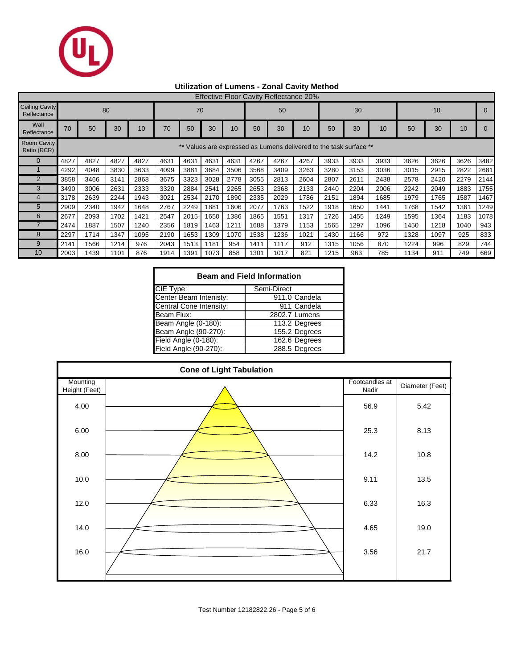

# **Utilization of Lumens - Zonal Cavity Method**

|                                      | <b>Effective Floor Cavity Reflectance 20%</b>                   |      |      |      |      |      |      |      |      |      |      |      |      |      |      |      |      |      |
|--------------------------------------|-----------------------------------------------------------------|------|------|------|------|------|------|------|------|------|------|------|------|------|------|------|------|------|
| <b>Ceiling Cavity</b><br>Reflectance | 80<br>70                                                        |      |      |      |      |      |      | 50   |      |      | 30   |      |      | 10   |      |      |      |      |
| Wall<br>Reflectance                  | 70                                                              | 50   | 30   | 10   | 70   | 50   | 30   | 10   | 50   | 30   | 10   | 50   | 30   | 10   | 50   | 30   | 10   |      |
| <b>Room Cavity</b><br>Ratio (RCR)    | Values are expressed as Lumens delivered to the task surface ** |      |      |      |      |      |      |      |      |      |      |      |      |      |      |      |      |      |
|                                      | 4827                                                            | 4827 | 4827 | 4827 | 4631 | 4631 | 4631 | 4631 | 4267 | 4267 | 4267 | 3933 | 3933 | 3933 | 3626 | 3626 | 3626 | 3482 |
|                                      | 4292                                                            | 4048 | 3830 | 3633 | 4099 | 3881 | 3684 | 3506 | 3568 | 3409 | 3263 | 3280 | 3153 | 3036 | 3015 | 2915 | 2822 | 2681 |
| $\overline{2}$                       | 3858                                                            | 3466 | 3141 | 2868 | 3675 | 3323 | 3028 | 2778 | 3055 | 2813 | 2604 | 2807 | 2611 | 2438 | 2578 | 2420 | 2279 | 2144 |
| 3                                    | 3490                                                            | 3006 | 2631 | 2333 | 3320 | 2884 | 2541 | 2265 | 2653 | 2368 | 2133 | 2440 | 2204 | 2006 | 2242 | 2049 | 1883 | 1755 |
|                                      | 3178                                                            | 2639 | 2244 | 1943 | 3021 | 2534 | 2170 | 1890 | 2335 | 2029 | 1786 | 2151 | 1894 | 1685 | 1979 | 1765 | 1587 | 1467 |
| 5                                    | 2909                                                            | 2340 | 1942 | 1648 | 2767 | 2249 | 1881 | 1606 | 2077 | 1763 | 1522 | 1918 | 1650 | 1441 | 1768 | 1542 | 1361 | 1249 |
| 6                                    | 2677                                                            | 2093 | 1702 | 1421 | 2547 | 2015 | 1650 | 1386 | 1865 | 1551 | 1317 | 1726 | 1455 | 1249 | 1595 | 1364 | 1183 | 1078 |
|                                      | 2474                                                            | 1887 | 1507 | 1240 | 2356 | 1819 | 1463 | 1211 | 1688 | 1379 | 1153 | 1565 | 1297 | 1096 | 1450 | 1218 | 1040 | 943  |
| 8                                    | 2297                                                            | 1714 | 1347 | 1095 | 2190 | 1653 | 1309 | 1070 | 1538 | 1236 | 1021 | 1430 | 1166 | 972  | 1328 | 1097 | 925  | 833  |
| 9                                    | 2141                                                            | 1566 | 1214 | 976  | 2043 | 1513 | 1181 | 954  | 1411 | 1117 | 912  | 1315 | 1056 | 870  | 1224 | 996  | 829  | 744  |
| 10                                   | 2003                                                            | 1439 | 1101 | 876  | 1914 | 1391 | 1073 | 858  | 1301 | 1017 | 821  | 1215 | 963  | 785  | 1134 | 911  | 749  | 669  |

| <b>Beam and Field Information</b> |               |  |  |  |  |  |  |  |  |
|-----------------------------------|---------------|--|--|--|--|--|--|--|--|
| CIE Type:                         | Semi-Direct   |  |  |  |  |  |  |  |  |
| Center Beam Intenisty:            | 911.0 Candela |  |  |  |  |  |  |  |  |
| Central Cone Intensity:           | 911 Candela   |  |  |  |  |  |  |  |  |
| Beam Flux:                        | 2802.7 Lumens |  |  |  |  |  |  |  |  |
| Beam Angle (0-180):               | 113.2 Degrees |  |  |  |  |  |  |  |  |
| Beam Angle (90-270):              | 155.2 Degrees |  |  |  |  |  |  |  |  |
| Field Angle (0-180):              | 162.6 Degrees |  |  |  |  |  |  |  |  |
| Field Angle (90-270):             | 288.5 Degrees |  |  |  |  |  |  |  |  |